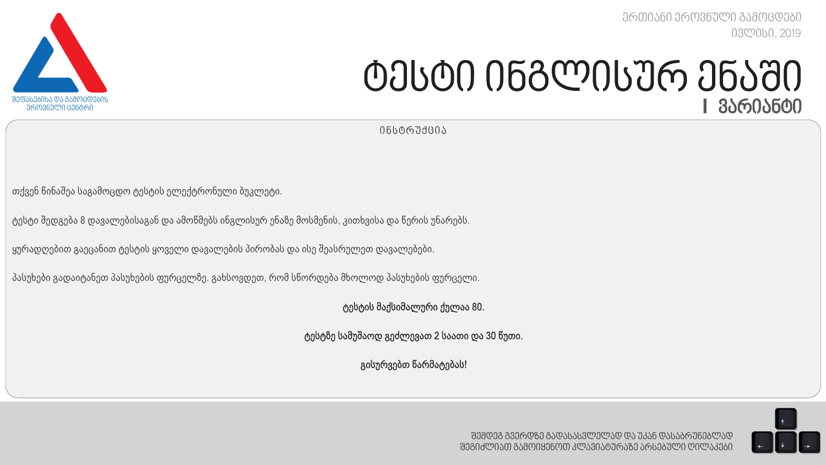*ერთიანი ეროვნული გამოცდები ივლისი, 2019*



# *ტესტი ინგლისურ ენაში I ვარიანტი*

*ინსტრუქცია*

თქვენ წინაშეა საგამოცდო ტესტის ელექტრონული ბუკლეტი.

ტესტი შედგება 8 დავალებისაგან და ამოწმებს ინგლისურ ენაზე მოსმენის, კითხვისა და წერის უნარებს.

ყურადღებით გაეცანით ტესტის ყოველი დავალების პირობას და ისე შეასრულეთ დავალებები.

პასუხები გადაიტანეთ პასუხების ფურცელზე. გახსოვდეთ, რომ სწორდება მხოლოდ პასუხების ფურცელი.

ტესტის მაქსიმალური ქულაა 80.

ტესტზე სამუშაოდ გეძლევათ 2 საათი და 30 წუთი.

გისურვებთ წარმატებას!

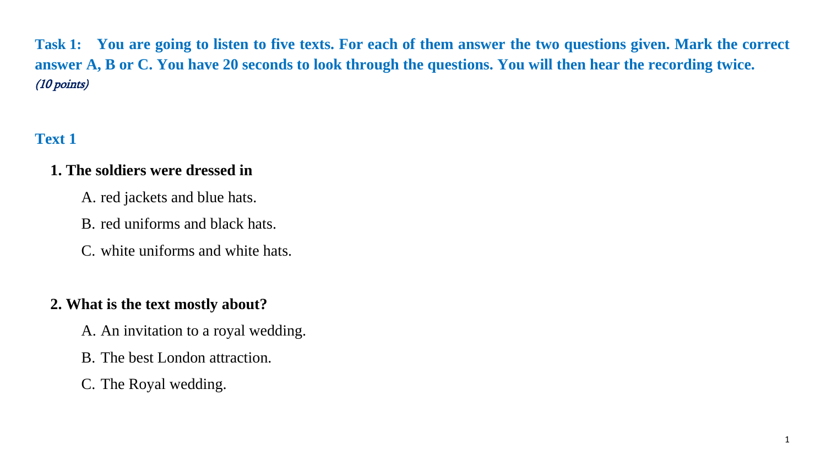**Task 1: You are going to listen to five texts. For each of them answer the two questions given. Mark the correct answer A, B or C. You have 20 seconds to look through the questions. You will then hear the recording twice.**  (10 points)

## **Text 1**

#### **1. The soldiers were dressed in**

- A. red jackets and blue hats.
- B. red uniforms and black hats.
- C. white uniforms and white hats.

## **2. What is the text mostly about?**

- A. An invitation to a royal wedding.
- B. The best London attraction.
- C. The Royal wedding.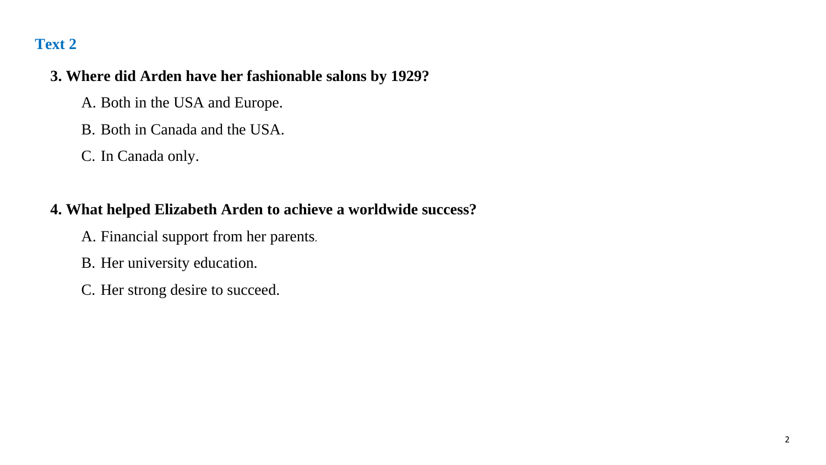#### **3. Where did Arden have her fashionable salons by 1929?**

- A. Both in the USA and Europe.
- B. Both in Canada and the USA.
- C. In Canada only.

## **4. What helped Elizabeth Arden to achieve a worldwide success?**

- A. Financial support from her parents.
- B. Her university education.
- C. Her strong desire to succeed.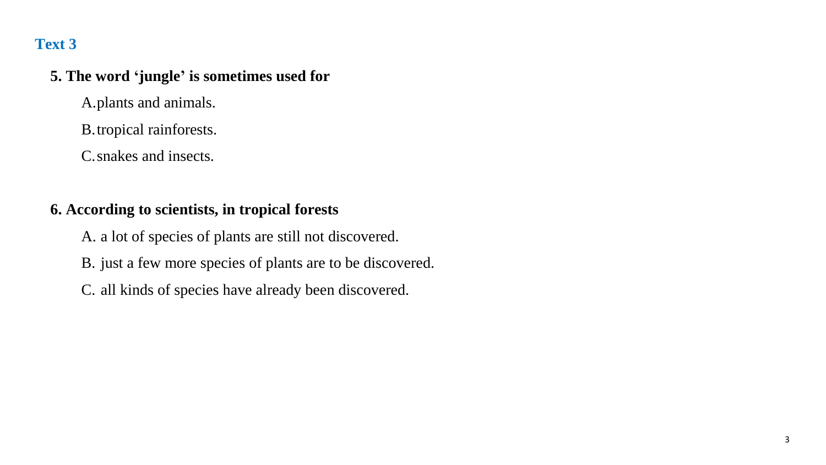#### **5. The word 'jungle' is sometimes used for**

A.plants and animals.

B.tropical rainforests.

C.snakes and insects.

## **6. According to scientists, in tropical forests**

A. a lot of species of plants are still not discovered.

- B. just a few more species of plants are to be discovered.
- C. all kinds of species have already been discovered.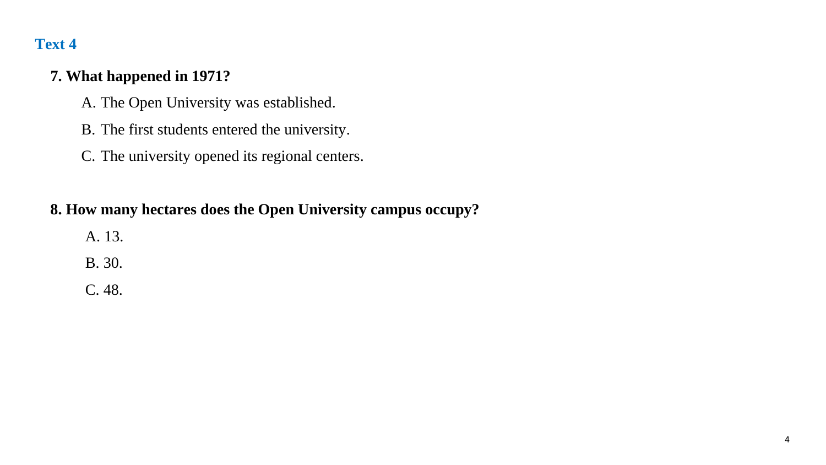#### **7. What happened in 1971?**

- A. The Open University was established.
- B. The first students entered the university.
- C. The university opened its regional centers.

#### **8. How many hectares does the Open University campus occupy?**

- A. 13.
- B. 30.
- C. 48.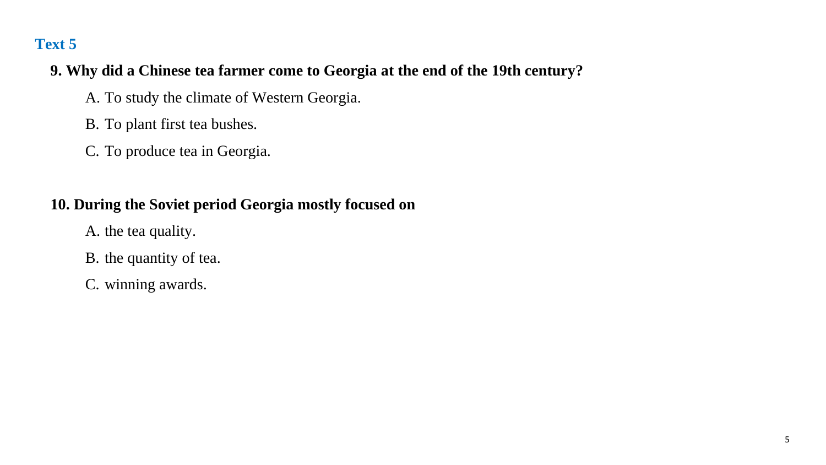## **9. Why did a Chinese tea farmer come to Georgia at the end of the 19th century?**

- A. To study the climate of Western Georgia.
- B. To plant first tea bushes.
- C. To produce tea in Georgia.

## **10. During the Soviet period Georgia mostly focused on**

- A. the tea quality.
- B. the quantity of tea.
- C. winning awards.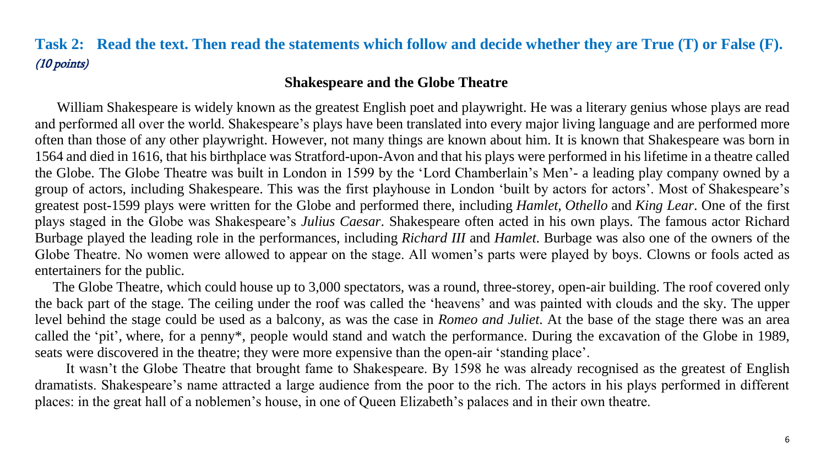## **Task 2: Read the text. Then read the statements which follow and decide whether they are True (T) or False (F).** (10 points)

#### **Shakespeare and the Globe Theatre**

 William Shakespeare is widely known as the greatest English poet and playwright. He was a literary genius whose plays are read and performed all over the world. Shakespeare's plays have been translated into every major [living language](https://en.wikipedia.org/wiki/Modern_language) and are performed more often than those of any other playwright. However, not many things are known about him. It is known that Shakespeare was born in 1564 and died in 1616, that his birthplace was Stratford-upon-Avon and that his plays were performed in his lifetime in a theatre called the Globe. The Globe Theatre was built in London in 1599 by the ['Lord Chamberlain's Men'](https://en.wikipedia.org/wiki/Lord_Chamberlain%27s_Men)- a leading play company owned by a group of actors, including Shakespeare. This was the first playhouse in London 'built by actors for actors'. Most of Shakespeare's greatest post-1599 plays were written for the Globe and performed there, including *Hamlet, Othello* and *King Lear*. One of the first plays staged in the Globe was Shakespeare's *Julius Caesar*. Shakespeare often acted in his own plays. The famous actor Richard Burbage played the leading role in the performances, including *Richard III* and *Hamlet*. Burbage was also one of the owners of the Globe Theatre. No women were allowed to appear on the stage. All women's parts were played by boys. Clowns or fools acted as entertainers for the public.

 The Globe Theatre, which could house up to 3,000 spectators, was a round, three-storey, open-air building. The roof covered only the back part of the stage. The ceiling under the roof was called the 'heavens' and was painted with clouds and the sky. The upper level behind the stage could be used as a balcony, as was the case in *Romeo and Juliet*. At the base of the stage there was an area called the 'pit', where, for a penny\*, people would stand and watch the performance. During the excavation of the Globe in 1989, seats were discovered in the theatre; they were more expensive than the open-air 'standing place'.

It wasn't the Globe Theatre that brought fame to Shakespeare. By 1598 he was already recognised as the greatest of English dramatists. Shakespeare's name attracted a large audience from the poor to the rich. The actors in his plays performed in different places: in the great hall of a noblemen's house, in one of Queen Elizabeth's palaces and in their own theatre.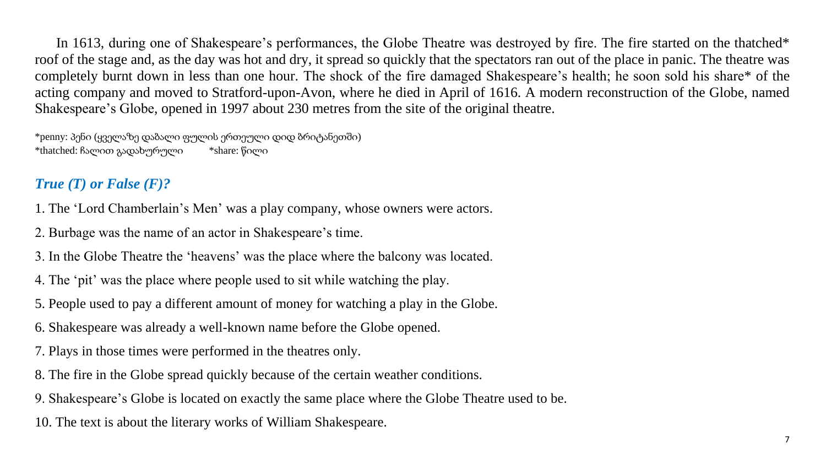In 1613, during one of Shakespeare's performances, the Globe Theatre was destroyed by fire. The fire started on the thatched\* roof of the stage and, as the day was hot and dry, it spread so quickly that the spectators ran out of the place in panic. The theatre was completely burnt down in less than one hour. The shock of the fire damaged Shakespeare's health; he soon sold his share\* of the acting company and moved to Stratford-upon-Avon, where he died in April of 1616. A modern reconstruction of the Globe, named [Shakespeare's Globe,](https://en.wikipedia.org/wiki/Shakespeare%27s_Globe) opened in 1997 about 230 metres from the site of the original theatre.

\*penny: პენი (ყველაზე დაბალი ფულის ერთეული დიდ ბრიტანეთში) \*thatched: ჩალით გადახურული \*share: წილი

## *True (T) or False (F)?*

1. The ['Lord Chamberlain's Men'](https://en.wikipedia.org/wiki/Lord_Chamberlain%27s_Men) was a play company, whose owners were actors.

2. Burbage was the name of an actor in Shakespeare's time.

3. In the Globe Theatre the 'heavens' was the place where the balcony was located.

4. The 'pit' was the place where people used to sit while watching the play.

- 5. People used to pay a different amount of money for watching a play in the Globe.
- 6. Shakespeare was already a well-known name before the Globe opened.
- 7. Plays in those times were performed in the theatres only.
- 8. The fire in the Globe spread quickly because of the certain weather conditions.
- 9. Shakespeare's Globe is located on exactly the same place where the Globe Theatre used to be.

10. The text is about the literary works of William Shakespeare.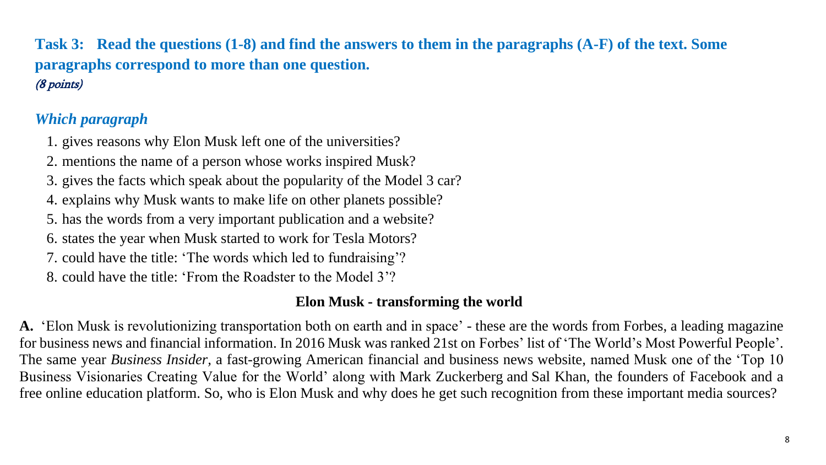**Task 3: Read the questions (1-8) and find the answers to them in the paragraphs (A-F) of the text. Some paragraphs correspond to more than one question.**  (8 points)

## *Which paragraph*

1. gives reasons why Elon Musk left one of the universities?

2. mentions the name of a person whose works inspired Musk?

3. gives the facts which speak about the popularity of the Model 3 car?

- 4. explains why Musk wants to make life on other planets possible?
- 5. has the words from a very important publication and a website?
- 6. states the year when Musk started to work for Tesla Motors?
- 7. could have the title: 'The words which led to fundraising'?
- 8. could have the title: 'From the Roadster to the Model 3'?

#### **Elon Musk - transforming the world**

**A.** 'Elon Musk is revolutionizing transportation both on earth and in space' - these are the words from Forbes, a leading magazine for business news and financial information. In 2016 Musk was ranked 21st on [Forbes' list of 'The World's Most Powerful People'](https://en.wikipedia.org/wiki/Forbes_list_of_The_World%27s_Most_Powerful_People). The same year *Business Insider,* a fast-growing American financial and business news website, named Musk one of the 'Top 10 Business Visionaries Creating Value for the World' along with [Mark Zuckerberg](https://en.wikipedia.org/wiki/Mark_Zuckerberg) and [Sal Khan,](https://en.wikipedia.org/wiki/Sal_Khan) the founders of Facebook and a free online education platform. So, who is Elon Musk and why does he get such recognition from these important media sources?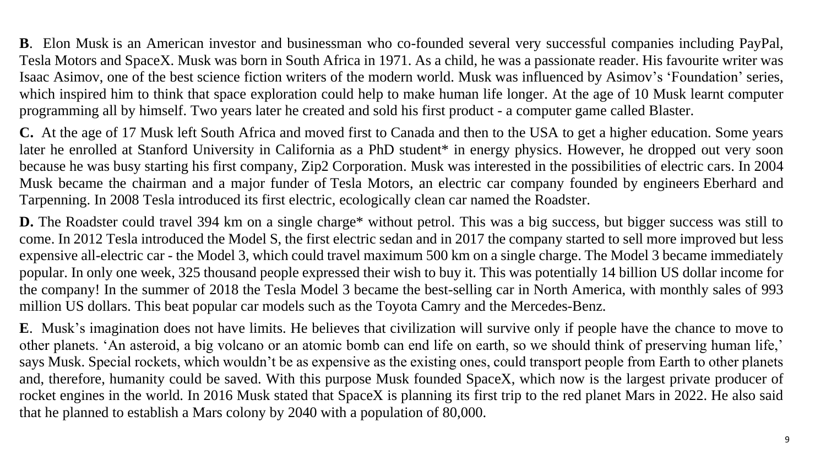**B**. Elon Musk is an American investor and businessman who co-founded several very successful companies including PayPal, Tesla Motors and SpaceX. Musk was born in South Africa in 1971. As a child, he was a passionate reader. His favourite writer was Isaac Asimov, one of the best science fiction writers of the modern world. Musk was influenced by [Asimov'](https://en.wikipedia.org/wiki/Isaac_Asimov)s ['Foundation'](https://en.wikipedia.org/wiki/Foundation_series) series, which inspired him to think that space exploration could help to make human life longer. At the age of 10 Musk learnt computer programming all by himself. Two years later he created and sold his first product - a computer game called Blaster.

**C.** At the age of 17 Musk left South Africa and moved first to Canada and then to the USA to get a higher education. Some years later he enrolled at Stanford University in California as a PhD student<sup>\*</sup> in energy physics. However, he dropped out very soon because he was busy starting his first company, Zip2 Corporation. Musk was interested in the possibilities of electric cars. In 2004 Musk became the chairman and a major funder of [Tesla Motors,](https://www.britannica.com/topic/Tesla-Motors) an electric car company founded by engineers [Eberhard and](https://www.britannica.com/biography/Martin-Eberhard-and-Marc-Tarpenning)  [Tarpenning.](https://www.britannica.com/biography/Martin-Eberhard-and-Marc-Tarpenning) In 2008 Tesla introduced its first electric, ecologically clean car named the [Roadster.](https://www.britannica.com/technology/Roadster)

**D.** The Roadster could travel 394 km on a single charge\* without petrol. This was a big success, but bigger success was still to come. In 2012 Tesla introduced the Model S, the first electric sedan and in 2017 the company started to sell more improved but less expensive all-electric car - the Model 3, which could travel maximum 500 km on a single charge. The Model 3 became immediately popular. In only one week, 325 thousand people expressed their wish to buy it. This was potentially 14 billion US dollar income for the company! In the summer of 2018 the Tesla Model 3 became the best-selling car in North America, with monthly sales of 993 million US dollars. This beat popular car models such as the [Toyota Camry](https://en.wikipedia.org/wiki/Toyota_Camry) and the [Mercedes-Benz.](https://www.businesswire.com/news/home/20180904005710/en/Mercedes-Benz-USA-Reports-August-Sales-20339-Units)

**E**. Musk's imagination does not have limits. He believes that civilization will survive only if people have the chance to move to other planets. 'An asteroid, a big volcano or an atomic bomb can end life on earth, so we should think of preserving human life,' says Musk. Special rockets, which wouldn't be as expensive as the existing ones, could transport people from Earth to other planets and, therefore, humanity could be saved. With this purpose Musk founded SpaceX, which now is the largest private producer of rocket engines in the world. In 2016 Musk stated that SpaceX is planning its first trip to the red planet Mars in 2022. He also said that he planned to establish a Mars colony by 2040 with a population of 80,000.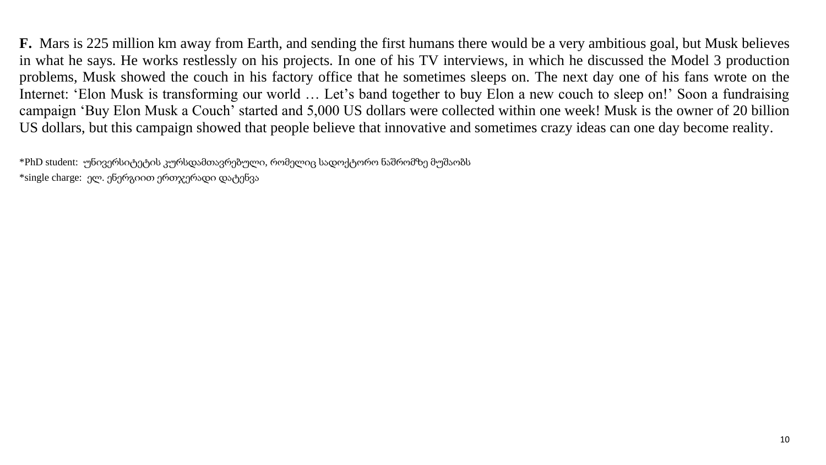**F.** Mars is 225 million km away from Earth, and sending the first humans there would be a very ambitious goal, but Musk believes in what he says. He works restlessly on his projects. In one of his TV interviews, in which he discussed the Model 3 production problems, Musk showed the couch in his factory office that he sometimes sleeps on. The next day one of his fans wrote on the Internet: 'Elon Musk is transforming our world … Let's band together to buy Elon a new couch to sleep on!' Soon a fundraising campaign 'Buy Elon Musk a Couch' started and 5,000 US dollars were collected within one week! Musk is the owner of 20 billion US dollars, but this campaign showed that people believe that innovative and sometimes crazy ideas can one day become reality.

\*PhD student: უნივერსიტეტის კურსდამთავრებული, რომელიც სადოქტორო ნაშრომზე მუშაობს \*single charge: ელ. ენერგიით ერთჯერადი დატენვა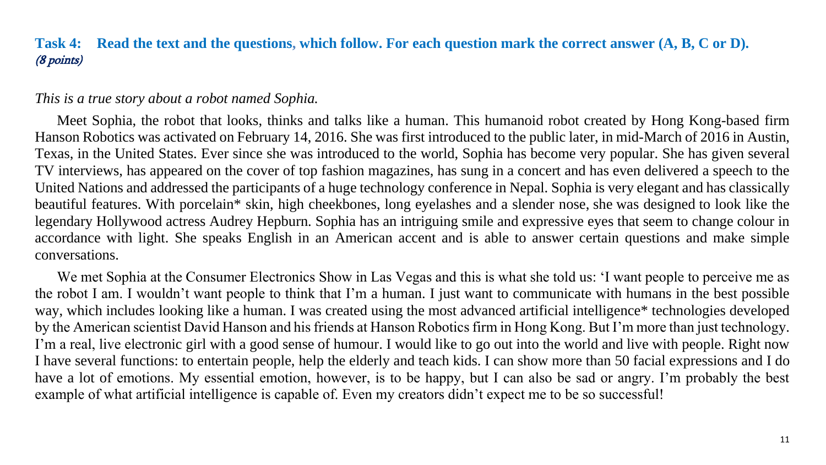#### **Task 4: Read the text and the questions, which follow. For each question mark the correct answer (A, B, C or D).** (8 points)

#### <span id="page-11-0"></span>*This is a true story about a robot named Sophia.*

 Meet Sophia, the robot that looks, thinks and talks like a human. This humanoid robot created by Hong Kong-based firm Hanson Robotics was activated on February 14, 2016. She was first introduced to the public later, in mid-March of 2016 in Austin, Texas, in the United States. Ever since she was introduced to the world, Sophia has become very popular. She has given several TV interviews, has appeared on the cover of top fashion magazines, has sung in a concert and has even delivered a speech to the United Nations and addressed the participants of a huge technology conference in Nepal. Sophia is very elegant and has classically beautiful features. With porcelain\* skin, high cheekbones, long eyelashes and a slender nose, she was designed to look like the legendary Hollywood actress Audrey Hepburn. Sophia has an intriguing smile and expressive eyes that seem to change colour in accordance with light. She speaks English in an American accent and is able to answer certain questions and make simple conversations.

 We met Sophia at the Consumer Electronics Show in Las Vegas and this is what she told us: 'I want people to perceive me as the robot I am. I wouldn't want people to think that I'm a human. I just want to communicate with humans in the best possible way, which includes looking like a human. I was created using the most advanced artificial intelligence\* technologies developed by the American scientist David Hanson and his friends at Hanson Robotics firm in Hong Kong. But I'm more than just technology. I'm a real, live electronic girl with a good sense of humour. I would like to go out into the world and live with people. Right now I have several functions: to entertain people, help the elderly and teach kids. I can show more than 50 facial expressions and I do have a lot of emotions. My essential emotion, however, is to be happy, but I can also be sad or angry. I'm probably the best example of what artificial intelligence is capable of. Even my creators didn't expect me to be so successful!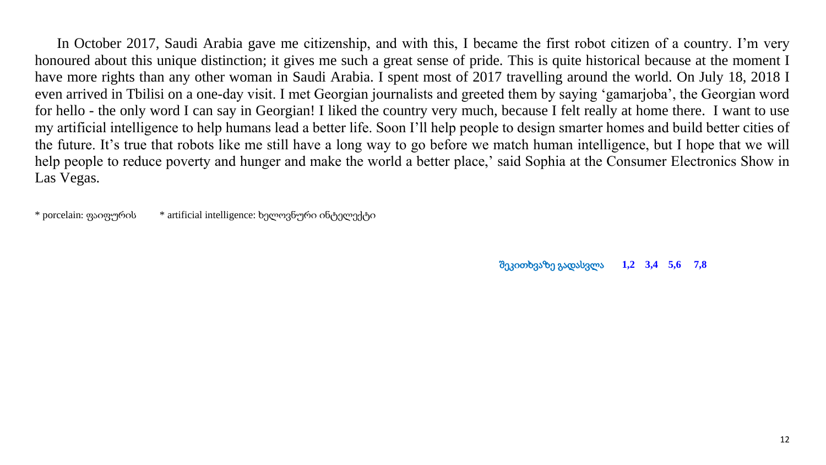In October 2017, Saudi Arabia gave me citizenship, and with this, I became the first robot citizen of a country. I'm very honoured about this unique distinction; it gives me such a great sense of pride. This is quite historical because at the moment I have more rights than any other woman in Saudi Arabia. I spent most of 2017 travelling around the world. On July 18, 2018 I even arrived in Tbilisi on a one-day visit. I met Georgian journalists and greeted them by saying 'gamarjoba', the Georgian word for hello - the only word I can say in Georgian! I liked the country very much, because I felt really at home there. I want to use my artificial intelligence to help humans lead a better life. Soon I'll help people to design smarter homes and build better cities of the future. It's true that robots like me still have a long way to go before we match human intelligence, but I hope that we will help people to reduce poverty and hunger and make the world a better place,' said Sophia at the Consumer Electronics Show in Las Vegas.

\* porcelain: ფაიფურის \* artificial intelligence: ხელოვნური ინტელექტი

შეკითხვაზე გადასვლა **[1,2](#page-13-0) [3,4](#page-14-0) [5,6](#page-15-0) [7,8](#page-16-0)**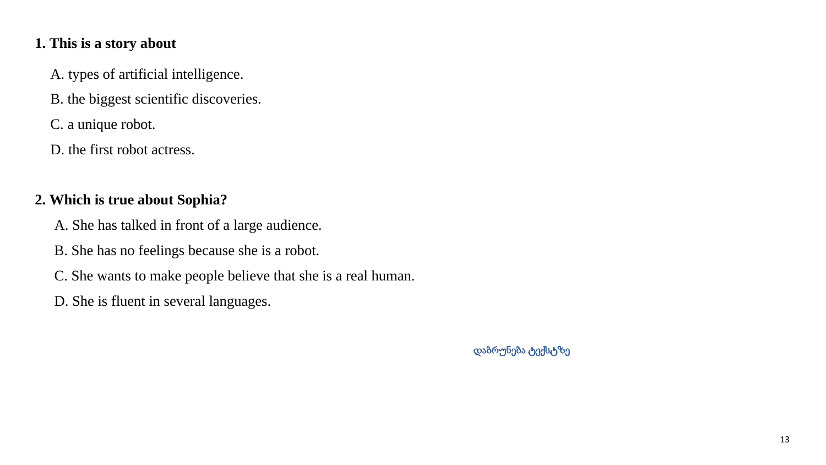#### <span id="page-13-0"></span>**1. This is a story about**

A. types of artificial intelligence.

B. the biggest scientific discoveries.

C. a unique robot.

D. the first robot actress.

#### **2. Which is true about Sophia?**

A. She has talked in front of a large audience.

- B. She has no feelings because she is a robot.
- C. She wants to make people believe that she is a real human.
- D. She is fluent in several languages.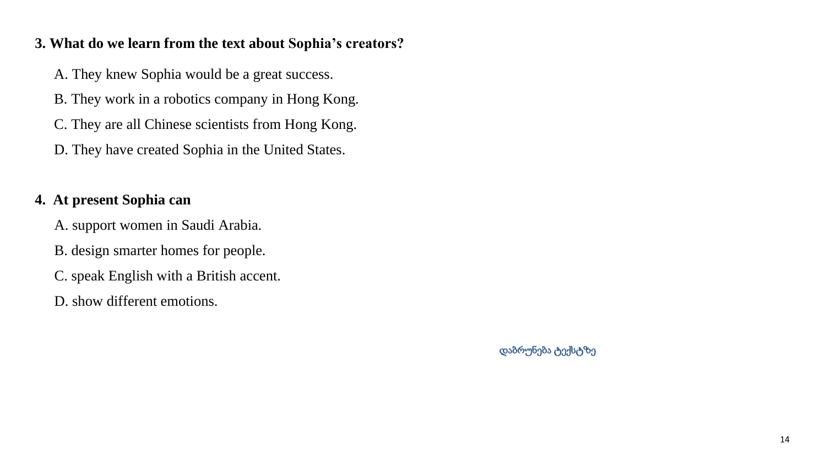#### <span id="page-14-0"></span>**3. What do we learn from the text about Sophia's creators?**

- A. They knew Sophia would be a great success.
- B. They work in a robotics company in Hong Kong.
- C. They are all Chinese scientists from Hong Kong.
- D. They have created Sophia in the United States.

## **4. At present Sophia can**

- A. support women in Saudi Arabia.
- B. design smarter homes for people.
- C. speak English with a British accent.
- D. show different emotions.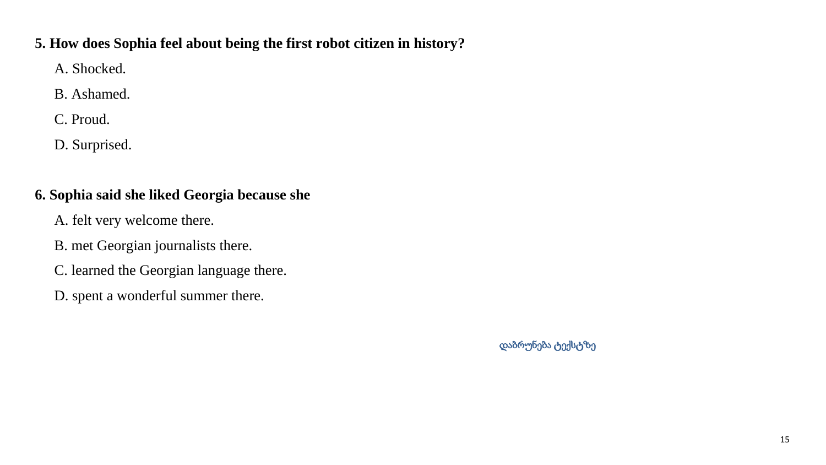#### <span id="page-15-0"></span>**5. How does Sophia feel about being the first robot citizen in history?**

A. Shocked.

B. Ashamed.

C. Proud.

D. Surprised.

## **6. Sophia said she liked Georgia because she**

- A. felt very welcome there.
- B. met Georgian journalists there.
- C. learned the Georgian language there.
- D. spent a wonderful summer there.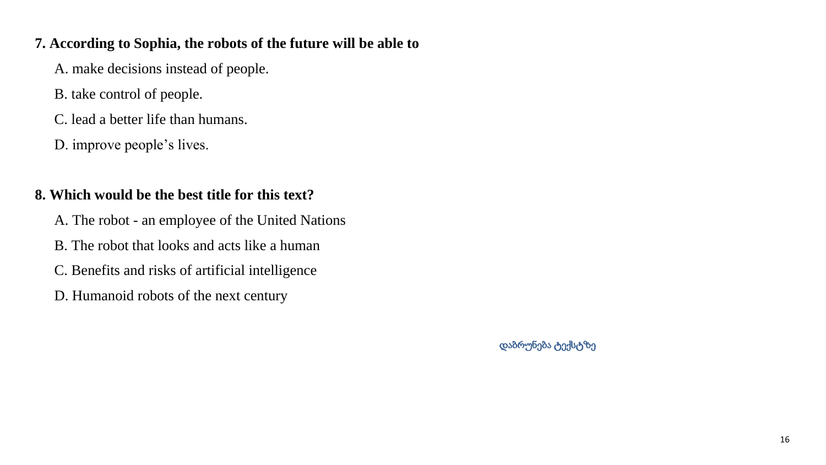#### <span id="page-16-0"></span>**7. According to Sophia, the robots of the future will be able to**

A. make decisions instead of people.

- B. take control of people.
- C. lead a better life than humans.
- D. improve people's lives.

#### **8. Which would be the best title for this text?**

- A. The robot an employee of the United Nations
- B. The robot that looks and acts like a human
- C. Benefits and risks of artificial intelligence
- D. Humanoid robots of the next century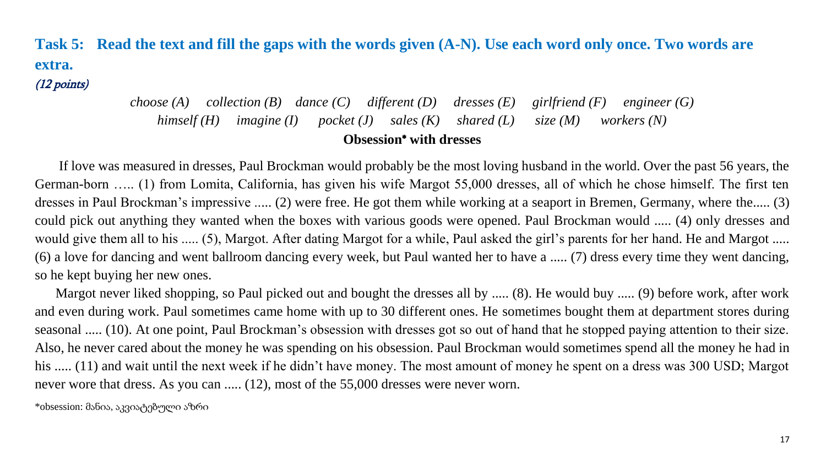**Task 5: Read the text and fill the gaps with the words given (A-N). Use each word only once. Two words are extra.** 

(12 points)

*choose (A) collection (B) dance (C) different (D) dresses (E) girlfriend (F) engineer (G) himself (H) imagine (I) pocket (J) sales (K) shared (L) size (M) workers (N)* **Obsession**\* **with dresses**

 If love was measured in dresses, Paul Brockman would probably be the most loving husband in the world. Over the past 56 years, the German-born ….. (1) from Lomita, California, has given his wife Margot 55,000 dresses, all of which he chose himself. The first ten dresses in Paul Brockman's impressive ..... (2) were free. He got them while working at a seaport in Bremen, Germany, where the..... (3) could pick out anything they wanted when the boxes with various goods were opened. Paul Brockman would ..... (4) only dresses and would give them all to his ..... (5), Margot. After dating Margot for a while, Paul asked the girl's parents for her hand. He and Margot ..... (6) a love for dancing and went ballroom dancing every week, but Paul wanted her to have a ..... (7) dress every time they went dancing, so he kept buying her new ones.

 Margot never liked shopping, so Paul picked out and bought the dresses all by ..... (8). He would buy ..... (9) before work, after work and even during work. Paul sometimes came home with up to 30 different ones. He sometimes bought them at department stores during seasonal ..... (10). At one point, Paul Brockman's obsession with dresses got so out of hand that he stopped paying attention to their size. Also, he never cared about the money he was spending on his obsession. Paul Brockman would sometimes spend all the money he had in his ..... (11) and wait until the next week if he didn't have money. The most amount of money he spent on a dress was 300 USD; Margot never wore that dress. As you can ..... (12), most of the 55,000 dresses were never worn.

\*obsession: მანია, აკვიატებული აზრი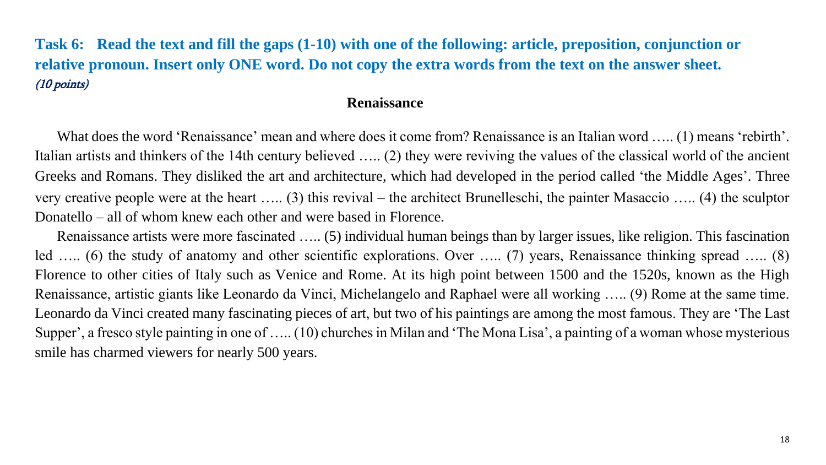## **Task 6: Read the text and fill the gaps (1-10) with one of the following: article, preposition, conjunction or relative pronoun. Insert only ONE word. Do not copy the extra words from the text on the answer sheet.** (10 points)

#### **Renaissance**

What does the word 'Renaissance' mean and where does it come from? Renaissance is an Italian word ….. (1) means 'rebirth'. Italian artists and thinkers of the 14th century believed ….. (2) they were reviving the values of the classical world of the ancient Greeks and Romans. They disliked the art and architecture, which had developed in the period called 'the Middle Ages'. Three very creative people were at the heart ….. (3) this revival – the architect Brunelleschi, the painter Masaccio ….. (4) the sculptor Donatello – all of whom knew each other and were based in Florence.

 Renaissance artists were more fascinated ….. (5) individual human beings than by larger issues, like religion. This fascination led ….. (6) the study of anatomy and other scientific explorations. Over ….. (7) years, Renaissance thinking spread ….. (8) Florence to other cities of Italy such as Venice and Rome. At its high point between 1500 and the 1520s, known as the High Renaissance, artistic giants like Leonardo da Vinci, Michelangelo and Raphael were all working ….. (9) Rome at the same time. Leonardo da Vinci created many fascinating pieces of art, but two of his paintings are among the most famous. They are 'The Last Supper', a fresco style painting in one of ….. (10) churches in Milan and 'The Mona Lisa', a painting of a woman whose mysterious smile has charmed viewers for nearly 500 years.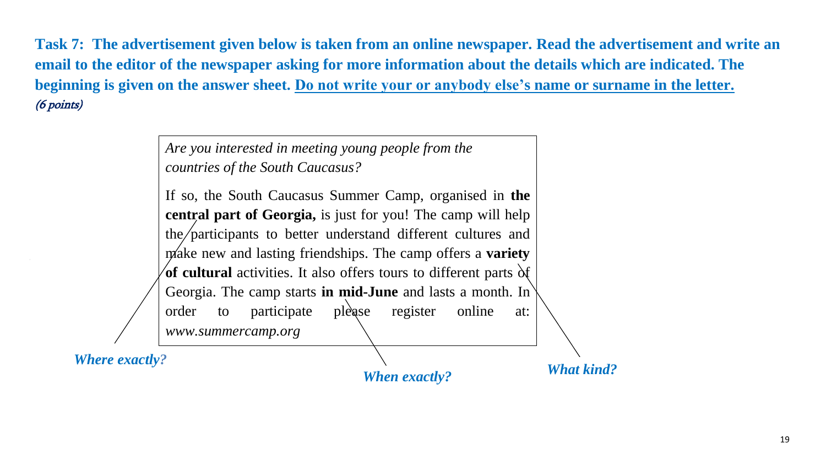**Task 7: The advertisement given below is taken from an online newspaper. Read the advertisement and write an email to the editor of the newspaper asking for more information about the details which are indicated. The beginning is given on the answer sheet. Do not write your or anybody else's name or surname in the letter.** (6 points)

> *Are you interested in meeting young people from the countries of the South Caucasus?*

If so, the South Caucasus Summer Camp, organised in **the central part of Georgia,** is just for you! The camp will help the participants to better understand different cultures and make new and lasting friendships. The camp offers a **variety of cultural** activities. It also offers tours to different parts  $\delta f$ Georgia. The camp starts **in mid-June** and lasts a month. In order to participate please register online at: *www.summercamp.org*

*Where exactly?* 

*When exactly?*

*What kind?*